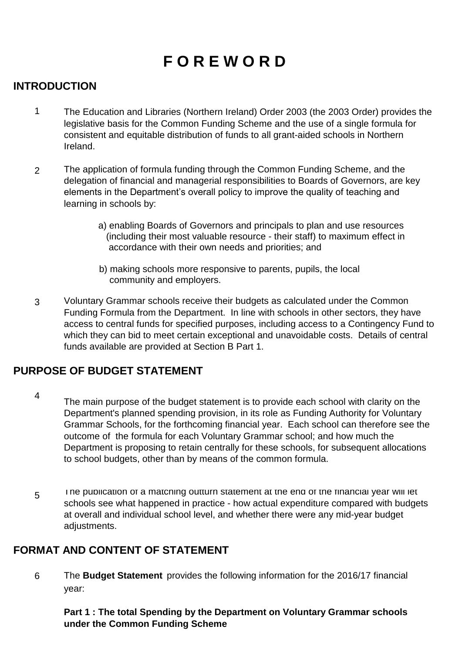# **F O R E W O R D**

#### **INTRODUCTION**

- 1 The Education and Libraries (Northern Ireland) Order 2003 (the 2003 Order) provides the legislative basis for the Common Funding Scheme and the use of a single formula for consistent and equitable distribution of funds to all grant-aided schools in Northern Ireland.
- $\mathcal{P}$ The application of formula funding through the Common Funding Scheme, and the delegation of financial and managerial responsibilities to Boards of Governors, are key elements in the Department's overall policy to improve the quality of teaching and learning in schools by:
	- a) enabling Boards of Governors and principals to plan and use resources (including their most valuable resource - their staff) to maximum effect in accordance with their own needs and priorities; and
	- b) making schools more responsive to parents, pupils, the local community and employers.
- 3 Voluntary Grammar schools receive their budgets as calculated under the Common Funding Formula from the Department. In line with schools in other sectors, they have access to central funds for specified purposes, including access to a Contingency Fund to which they can bid to meet certain exceptional and unavoidable costs. Details of central funds available are provided at Section B Part 1.

#### **PURPOSE OF BUDGET STATEMENT**

- 4
- The main purpose of the budget statement is to provide each school with clarity on the Department's planned spending provision, in its role as Funding Authority for Voluntary Grammar Schools, for the forthcoming financial year. Each school can therefore see the outcome of the formula for each Voluntary Grammar school; and how much the Department is proposing to retain centrally for these schools, for subsequent allocations to school budgets, other than by means of the common formula.
- 5 The publication of a matching outturn statement at the end of the financial year will let schools see what happened in practice - how actual expenditure compared with budgets at overall and individual school level, and whether there were any mid-year budget adjustments.

# **FORMAT AND CONTENT OF STATEMENT**

6 The **Budget Statement** provides the following information for the 2016/17 financial year:

**Part 1 : The total Spending by the Department on Voluntary Grammar schools under the Common Funding Scheme**